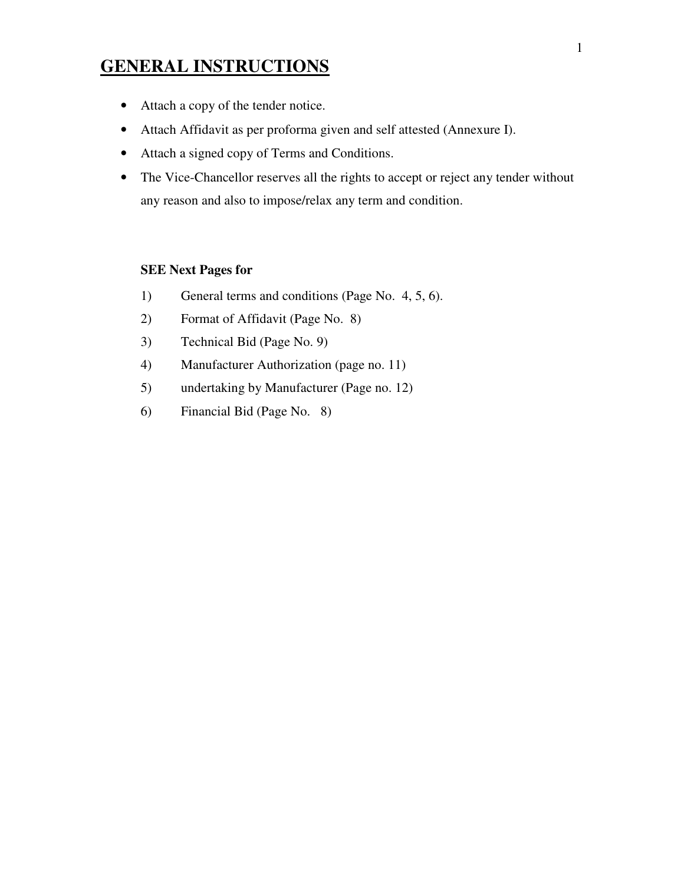# **GENERAL INSTRUCTIONS**

- Attach a copy of the tender notice.
- Attach Affidavit as per proforma given and self attested (Annexure I).
- Attach a signed copy of Terms and Conditions.
- The Vice-Chancellor reserves all the rights to accept or reject any tender without any reason and also to impose/relax any term and condition.

## **SEE Next Pages for**

- 1) General terms and conditions (Page No. 4, 5, 6).
- 2) Format of Affidavit (Page No. 8)
- 3) Technical Bid (Page No. 9)
- 4) Manufacturer Authorization (page no. 11)
- 5) undertaking by Manufacturer (Page no. 12)
- 6) Financial Bid (Page No. 8)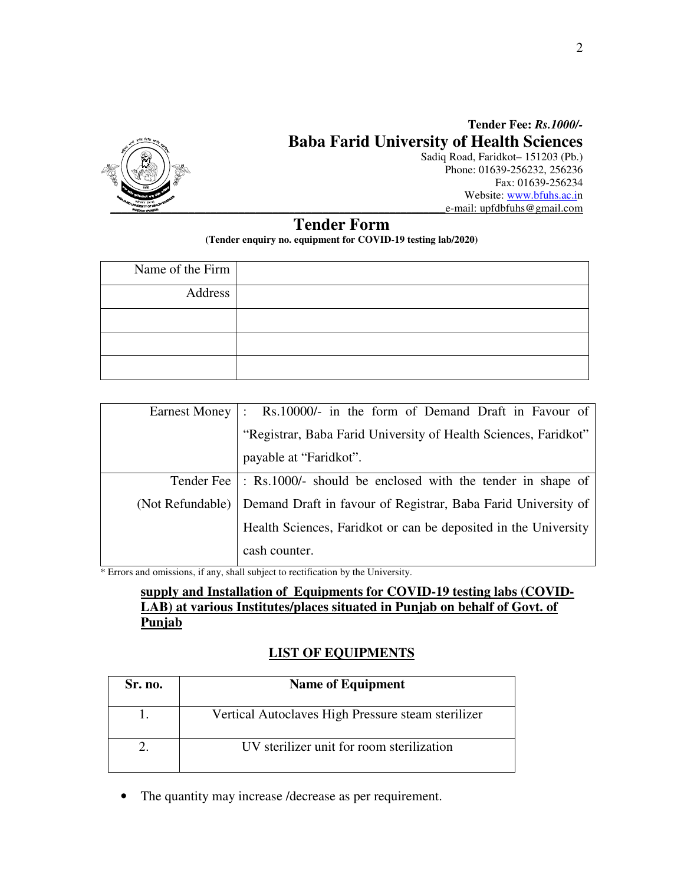

# **Tender Fee:** *Rs.1000/-* **Baba Farid University of Health Sciences**

Sadiq Road, Faridkot– 151203 (Pb.) Phone: 01639-256232, 256236 Fax: 01639-256234 Website: www.bfuhs.ac.in \_\_\_\_\_\_\_\_\_\_\_\_\_\_\_\_\_\_\_\_\_\_\_\_\_\_\_\_\_\_\_\_\_\_\_\_\_\_\_\_\_\_\_\_\_\_\_\_\_\_\_\_\_\_\_\_\_\_\_\_e-mail: upfdbfuhs@gmail.com

# **Tender Form**

**(Tender enquiry no. equipment for COVID-19 testing lab/2020)** 

| Name of the Firm |  |
|------------------|--|
| Address          |  |
|                  |  |
|                  |  |
|                  |  |

| Earnest Money    | : Rs.10000/- in the form of Demand Draft in Favour of                   |  |
|------------------|-------------------------------------------------------------------------|--|
|                  | "Registrar, Baba Farid University of Health Sciences, Faridkot"         |  |
|                  | payable at "Faridkot".                                                  |  |
|                  | Tender Fee   : Rs.1000/- should be enclosed with the tender in shape of |  |
| (Not Refundable) | Demand Draft in favour of Registrar, Baba Farid University of           |  |
|                  | Health Sciences, Faridkot or can be deposited in the University         |  |
|                  | cash counter.                                                           |  |

\* Errors and omissions, if any, shall subject to rectification by the University.

## **supply and Installation of Equipments for COVID-19 testing labs (COVID-LAB) at various Institutes/places situated in Punjab on behalf of Govt. of Punjab**

## **LIST OF EQUIPMENTS**

| <b>Sr. no.</b> | <b>Name of Equipment</b>                           |
|----------------|----------------------------------------------------|
|                | Vertical Autoclaves High Pressure steam sterilizer |
|                | UV sterilizer unit for room sterilization          |

• The quantity may increase /decrease as per requirement.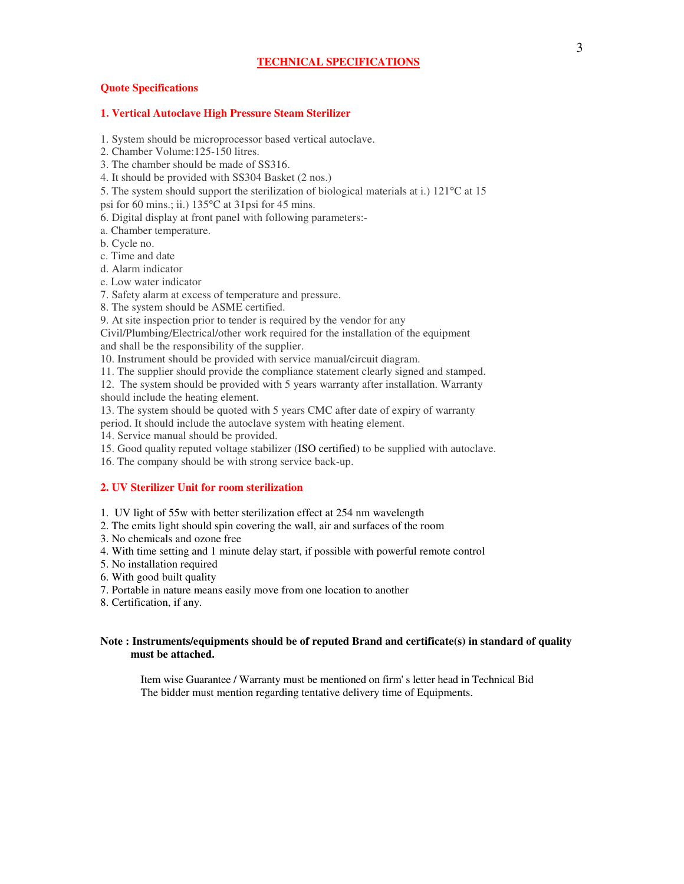#### **Quote Specifications**

#### **1. Vertical Autoclave High Pressure Steam Sterilizer**

1. System should be microprocessor based vertical autoclave.

2. Chamber Volume:125-150 litres.

3. The chamber should be made of SS316.

4. It should be provided with SS304 Basket (2 nos.)

5. The system should support the sterilization of biological materials at i.) 121°C at 15

psi for 60 mins.; ii.) 135°C at 31psi for 45 mins.

6. Digital display at front panel with following parameters:-

a. Chamber temperature.

b. Cycle no.

c. Time and date

d. Alarm indicator

e. Low water indicator

7. Safety alarm at excess of temperature and pressure.

8. The system should be ASME certified.

9. At site inspection prior to tender is required by the vendor for any

Civil/Plumbing/Electrical/other work required for the installation of the equipment and shall be the responsibility of the supplier.

10. Instrument should be provided with service manual/circuit diagram.

11. The supplier should provide the compliance statement clearly signed and stamped.

12. The system should be provided with 5 years warranty after installation. Warranty should include the heating element.

13. The system should be quoted with 5 years CMC after date of expiry of warranty

period. It should include the autoclave system with heating element.

14. Service manual should be provided.

15. Good quality reputed voltage stabilizer (ISO certified) to be supplied with autoclave.

16. The company should be with strong service back-up.

#### **2. UV Sterilizer Unit for room sterilization**

1. UV light of 55w with better sterilization effect at 254 nm wavelength

2. The emits light should spin covering the wall, air and surfaces of the room

3. No chemicals and ozone free

4. With time setting and 1 minute delay start, if possible with powerful remote control

5. No installation required

6. With good built quality

7. Portable in nature means easily move from one location to another

8. Certification, if any.

### **Note : Instruments/equipments should be of reputed Brand and certificate(s) in standard of quality must be attached.**

Item wise Guarantee / Warranty must be mentioned on firm' s letter head in Technical Bid The bidder must mention regarding tentative delivery time of Equipments.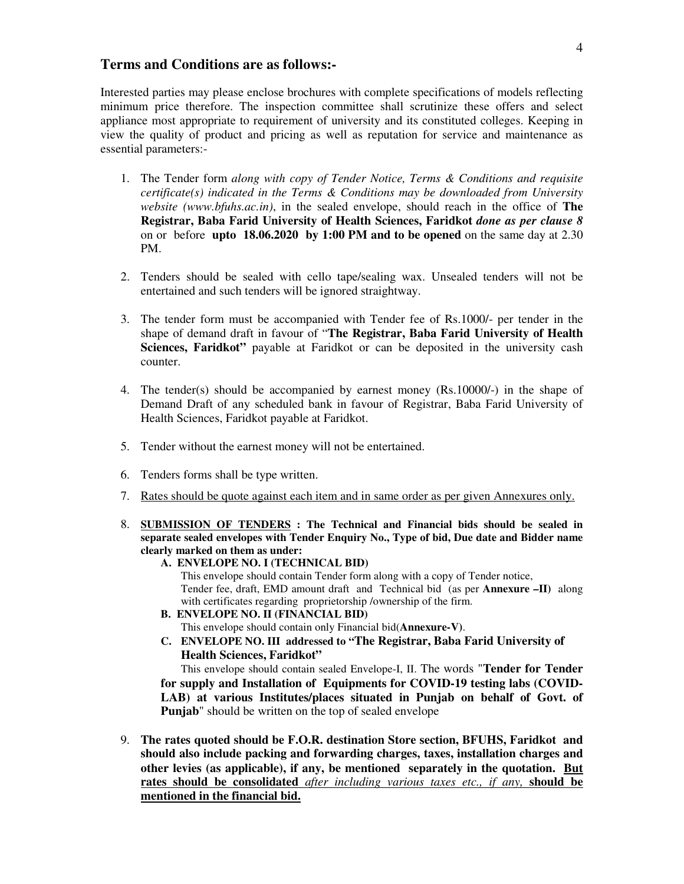## **Terms and Conditions are as follows:-**

Interested parties may please enclose brochures with complete specifications of models reflecting minimum price therefore. The inspection committee shall scrutinize these offers and select appliance most appropriate to requirement of university and its constituted colleges. Keeping in view the quality of product and pricing as well as reputation for service and maintenance as essential parameters:-

- 1. The Tender form *along with copy of Tender Notice, Terms & Conditions and requisite certificate(s) indicated in the Terms & Conditions may be downloaded from University website (www.bfuhs.ac.in)*, in the sealed envelope, should reach in the office of **The Registrar, Baba Farid University of Health Sciences, Faridkot** *done as per clause 8* on or before **upto 18.06.2020 by 1:00 PM and to be opened** on the same day at 2.30 PM.
- 2. Tenders should be sealed with cello tape/sealing wax. Unsealed tenders will not be entertained and such tenders will be ignored straightway.
- 3. The tender form must be accompanied with Tender fee of Rs.1000/- per tender in the shape of demand draft in favour of "**The Registrar, Baba Farid University of Health Sciences, Faridkot**" payable at Faridkot or can be deposited in the university cash counter.
- 4. The tender(s) should be accompanied by earnest money (Rs.10000/-) in the shape of Demand Draft of any scheduled bank in favour of Registrar, Baba Farid University of Health Sciences, Faridkot payable at Faridkot.
- 5. Tender without the earnest money will not be entertained.
- 6. Tenders forms shall be type written.
- 7. Rates should be quote against each item and in same order as per given Annexures only.
- 8. **SUBMISSION OF TENDERS : The Technical and Financial bids should be sealed in separate sealed envelopes with Tender Enquiry No., Type of bid, Due date and Bidder name clearly marked on them as under:**
	- **A. ENVELOPE NO. I (TECHNICAL BID)**

This envelope should contain Tender form along with a copy of Tender notice, Tender fee, draft, EMD amount draft and Technical bid (as per **Annexure –II)** along with certificates regarding proprietorship /ownership of the firm.

- **B. ENVELOPE NO. II (FINANCIAL BID)**  This envelope should contain only Financial bid(**Annexure-V)**.
- **C. ENVELOPE NO. III addressed to "The Registrar, Baba Farid University of Health Sciences, Faridkot"**

This envelope should contain sealed Envelope-I, II. The words "**Tender for Tender for supply and Installation of Equipments for COVID-19 testing labs (COVID-LAB) at various Institutes/places situated in Punjab on behalf of Govt. of Punjab**" should be written on the top of sealed envelope

9. **The rates quoted should be F.O.R. destination Store section, BFUHS, Faridkot and should also include packing and forwarding charges, taxes, installation charges and other levies (as applicable), if any, be mentioned separately in the quotation. But rates should be consolidated** *after including various taxes etc., if any,* **should be mentioned in the financial bid.**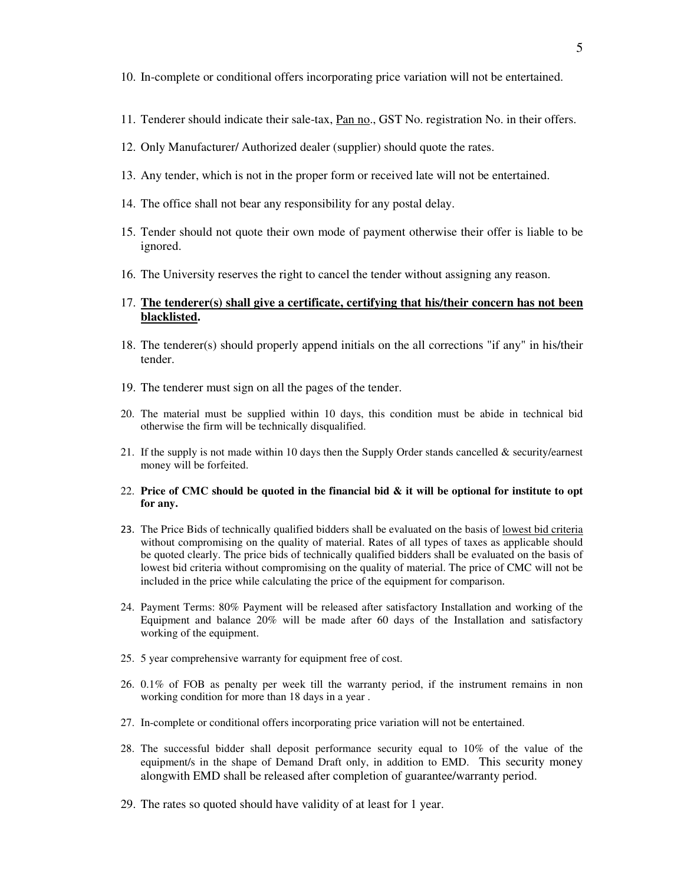- 10. In-complete or conditional offers incorporating price variation will not be entertained.
- 11. Tenderer should indicate their sale-tax, Pan no., GST No. registration No. in their offers.
- 12. Only Manufacturer/ Authorized dealer (supplier) should quote the rates.
- 13. Any tender, which is not in the proper form or received late will not be entertained.
- 14. The office shall not bear any responsibility for any postal delay.
- 15. Tender should not quote their own mode of payment otherwise their offer is liable to be ignored.
- 16. The University reserves the right to cancel the tender without assigning any reason.

## 17. **The tenderer(s) shall give a certificate, certifying that his/their concern has not been blacklisted.**

- 18. The tenderer(s) should properly append initials on the all corrections "if any" in his/their tender.
- 19. The tenderer must sign on all the pages of the tender.
- 20. The material must be supplied within 10 days, this condition must be abide in technical bid otherwise the firm will be technically disqualified.
- 21. If the supply is not made within 10 days then the Supply Order stands cancelled & security/earnest money will be forfeited.
- 22. **Price of CMC should be quoted in the financial bid & it will be optional for institute to opt for any.**
- 23. The Price Bids of technically qualified bidders shall be evaluated on the basis of lowest bid criteria without compromising on the quality of material. Rates of all types of taxes as applicable should be quoted clearly. The price bids of technically qualified bidders shall be evaluated on the basis of lowest bid criteria without compromising on the quality of material. The price of CMC will not be included in the price while calculating the price of the equipment for comparison.
- 24. Payment Terms: 80% Payment will be released after satisfactory Installation and working of the Equipment and balance 20% will be made after 60 days of the Installation and satisfactory working of the equipment.
- 25. 5 year comprehensive warranty for equipment free of cost.
- 26. 0.1% of FOB as penalty per week till the warranty period, if the instrument remains in non working condition for more than 18 days in a year .
- 27. In-complete or conditional offers incorporating price variation will not be entertained.
- 28. The successful bidder shall deposit performance security equal to 10% of the value of the equipment/s in the shape of Demand Draft only, in addition to EMD. This security money alongwith EMD shall be released after completion of guarantee/warranty period.
- 29. The rates so quoted should have validity of at least for 1 year.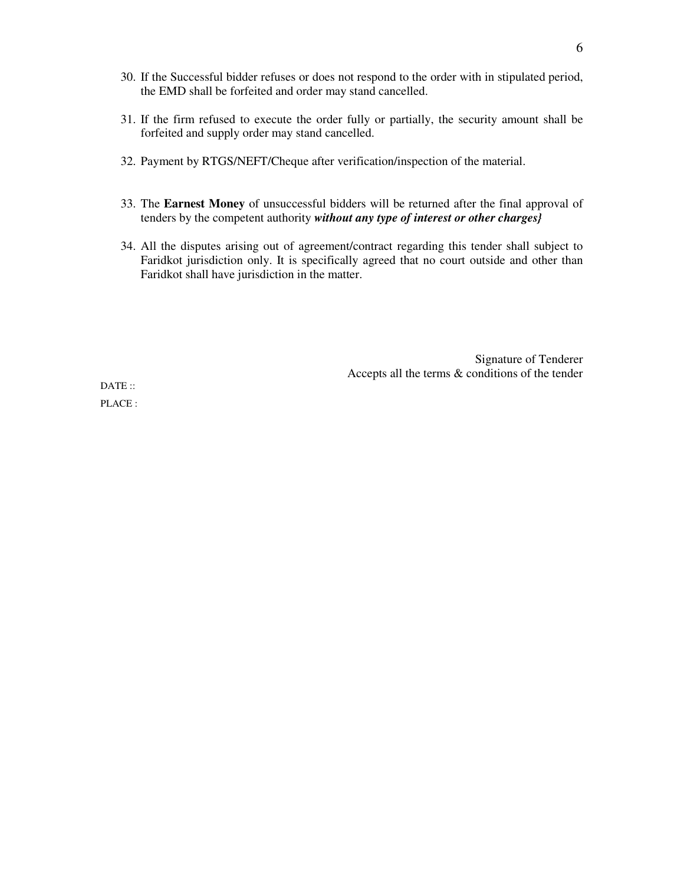- 30. If the Successful bidder refuses or does not respond to the order with in stipulated period, the EMD shall be forfeited and order may stand cancelled.
- 31. If the firm refused to execute the order fully or partially, the security amount shall be forfeited and supply order may stand cancelled.
- 32. Payment by RTGS/NEFT/Cheque after verification/inspection of the material.
- 33. The **Earnest Money** of unsuccessful bidders will be returned after the final approval of tenders by the competent authority *without any type of interest or other charges}*
- 34. All the disputes arising out of agreement/contract regarding this tender shall subject to Faridkot jurisdiction only. It is specifically agreed that no court outside and other than Faridkot shall have jurisdiction in the matter.

Signature of Tenderer Accepts all the terms & conditions of the tender

DATE: PLACE :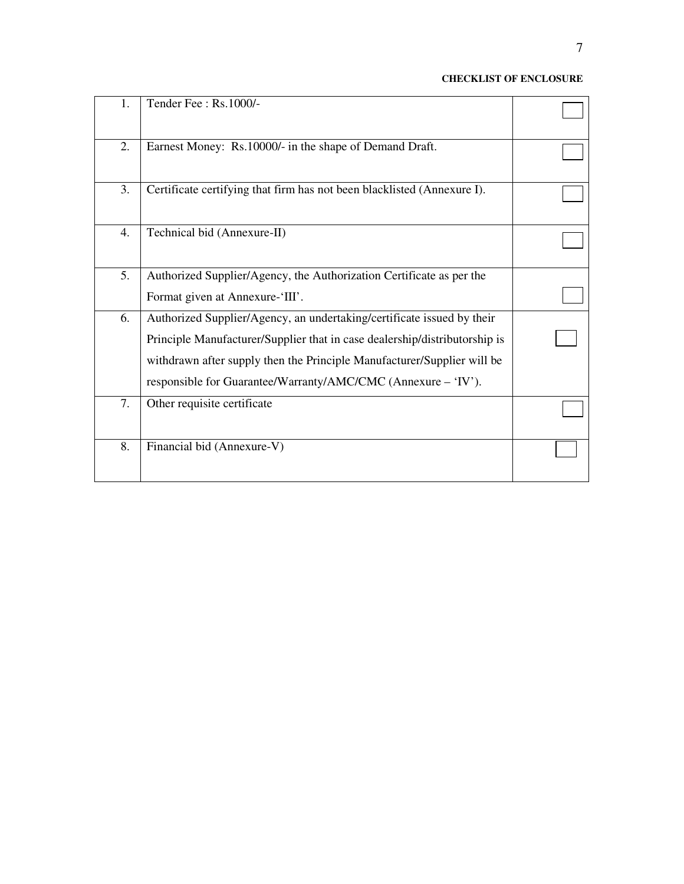## **CHECKLIST OF ENCLOSURE**

| 1.               | Tender Fee: Rs.1000/-                                                      |  |
|------------------|----------------------------------------------------------------------------|--|
| 2.               | Earnest Money: Rs.10000/- in the shape of Demand Draft.                    |  |
| 3.               | Certificate certifying that firm has not been blacklisted (Annexure I).    |  |
| $\overline{4}$ . | Technical bid (Annexure-II)                                                |  |
| 5.               | Authorized Supplier/Agency, the Authorization Certificate as per the       |  |
|                  | Format given at Annexure-'III'.                                            |  |
| 6.               | Authorized Supplier/Agency, an undertaking/certificate issued by their     |  |
|                  | Principle Manufacturer/Supplier that in case dealership/distributorship is |  |
|                  | withdrawn after supply then the Principle Manufacturer/Supplier will be    |  |
|                  | responsible for Guarantee/Warranty/AMC/CMC (Annexure - 'IV').              |  |
| 7.               | Other requisite certificate                                                |  |
| 8.               | Financial bid (Annexure-V)                                                 |  |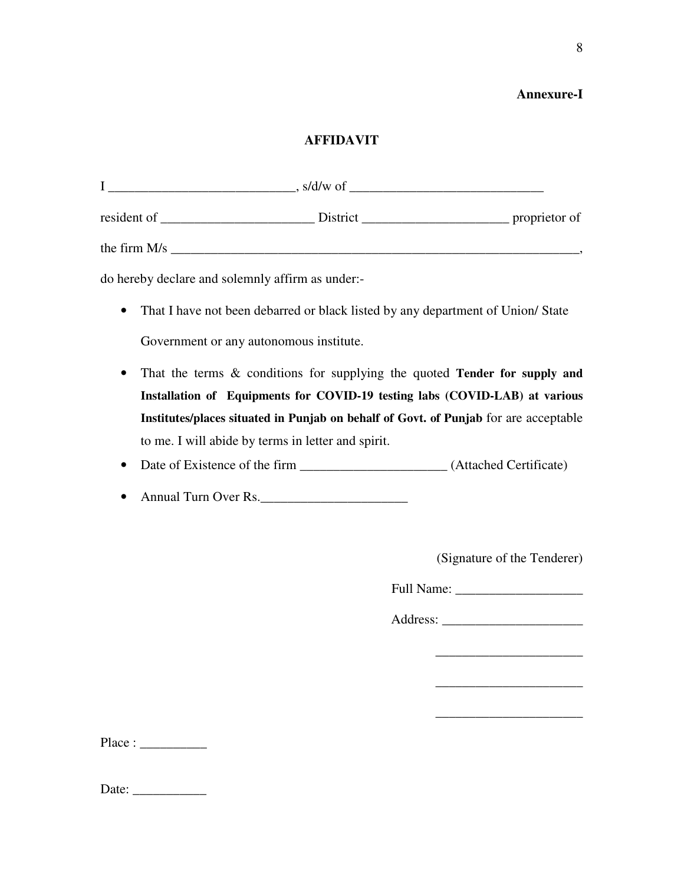## **Annexure-I**

## **AFFIDAVIT**

|                | $\,$ , s/d/w of |               |
|----------------|-----------------|---------------|
| resident of    | District        | proprietor of |
| the firm $M/s$ |                 |               |

do hereby declare and solemnly affirm as under:-

- That I have not been debarred or black listed by any department of Union/ State Government or any autonomous institute.
- That the terms & conditions for supplying the quoted **Tender for supply and Installation of Equipments for COVID-19 testing labs (COVID-LAB) at various Institutes/places situated in Punjab on behalf of Govt. of Punjab** for are acceptable to me. I will abide by terms in letter and spirit.
- Date of Existence of the firm \_\_\_\_\_\_\_\_\_\_\_\_\_\_\_\_\_\_\_\_\_\_ (Attached Certificate)
- Annual Turn Over Rs.

(Signature of the Tenderer)

\_\_\_\_\_\_\_\_\_\_\_\_\_\_\_\_\_\_\_\_\_\_

\_\_\_\_\_\_\_\_\_\_\_\_\_\_\_\_\_\_\_\_\_\_

\_\_\_\_\_\_\_\_\_\_\_\_\_\_\_\_\_\_\_\_\_\_

Full Name: \_\_\_\_\_\_\_\_\_\_\_\_\_\_\_\_\_\_\_

Address: \_\_\_\_\_\_\_\_\_\_\_\_\_\_\_\_\_\_\_\_\_

Place : \_\_\_\_\_\_\_\_\_\_

| Date: |
|-------|
|-------|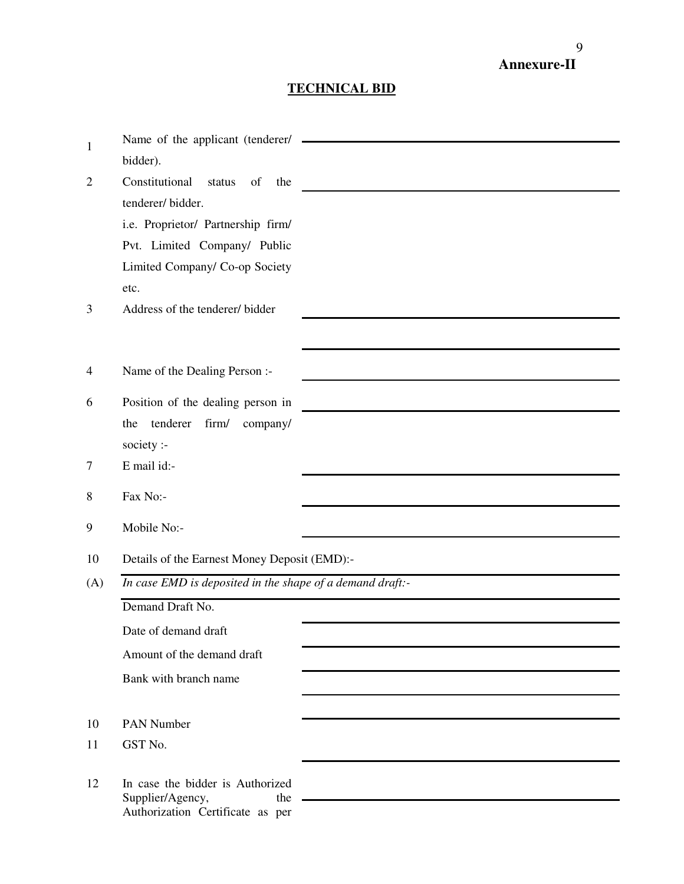# **Annexure-II**

## **TECHNICAL BID**

|                | Name of the applicant (tenderer/                          |
|----------------|-----------------------------------------------------------|
| $\mathbf{1}$   | bidder).                                                  |
| $\overline{2}$ | Constitutional<br>status<br>of<br>the                     |
|                | tenderer/bidder.                                          |
|                | i.e. Proprietor/ Partnership firm/                        |
|                | Pvt. Limited Company/ Public                              |
|                | Limited Company/ Co-op Society                            |
|                | etc.                                                      |
| 3              | Address of the tenderer/bidder                            |
|                |                                                           |
|                |                                                           |
| $\overline{4}$ | Name of the Dealing Person :-                             |
| 6              | Position of the dealing person in                         |
|                | tenderer<br>firm/ company/<br>the                         |
|                | society :-                                                |
| 7              | E mail id:-                                               |
|                |                                                           |
| 8              | Fax No:-                                                  |
| 9              | Mobile No:-                                               |
| 10             | Details of the Earnest Money Deposit (EMD):-              |
| (A)            | In case EMD is deposited in the shape of a demand draft:- |
|                | Demand Draft No.                                          |
|                | Date of demand draft                                      |
|                | Amount of the demand draft                                |
|                | Bank with branch name                                     |
|                |                                                           |
| 10             | <b>PAN Number</b>                                         |
| 11             | GST No.                                                   |
| 12             | In case the bidder is Authorized                          |
|                | the<br>Supplier/Agency,                                   |
|                | Authorization Certificate as per                          |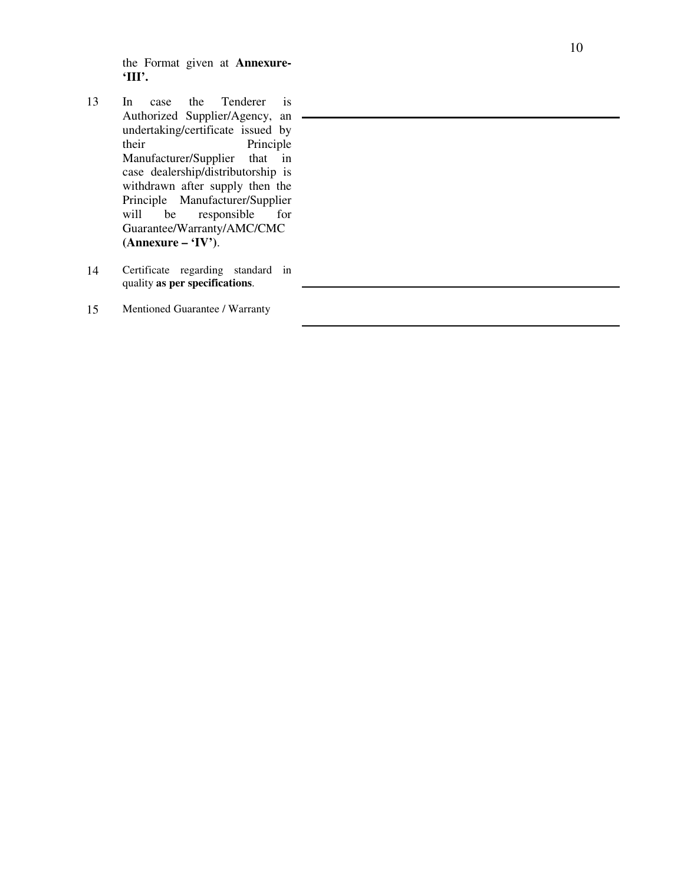the Format given at **Annexure - 'III'.**

- 13 In case the Tenderer is Authorized Supplier/Agency, an undertaking/certificate issued by<br>their Principle Principle Manufacturer/Supplier that in case dealership/distributorship is withdrawn after supply then the Principle Manufacturer/Supplier<br>will be responsible for will be responsible for Guarantee/Warranty/AMC/CMC **(Annexure – 'IV')**.
- 14 Certificate regarding standard in quality **as per specifications** .
- 15 Mentioned Guarantee / Warranty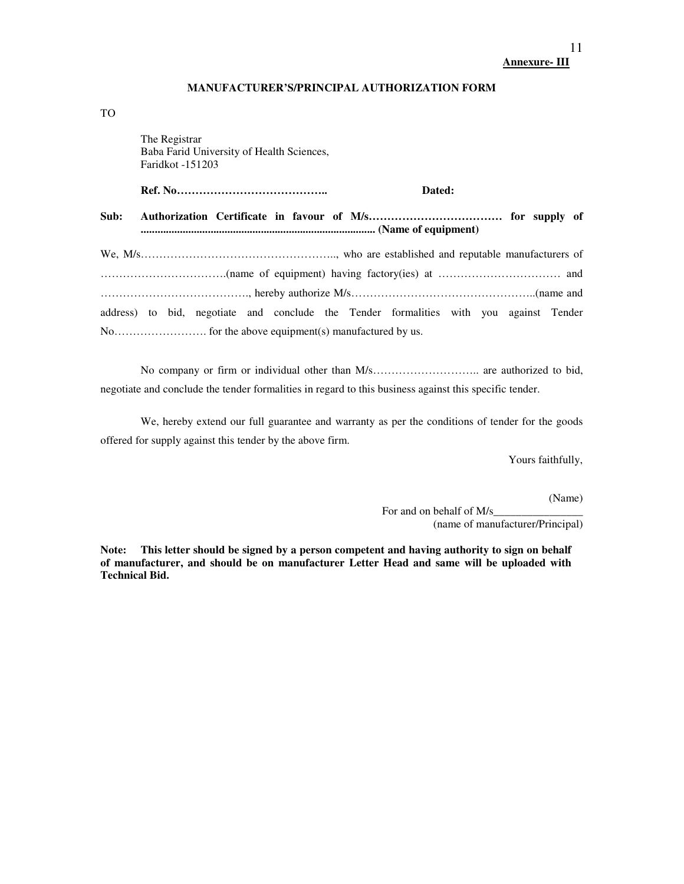### **Annexure- III**

### **MANUFACTURER'S/PRINCIPAL AUTHORIZATION FORM**

TO

The Registrar

|      | Baba Farid University of Health Sciences,<br><b>Faridkot</b> -151203 |                                                                                        |  |
|------|----------------------------------------------------------------------|----------------------------------------------------------------------------------------|--|
|      |                                                                      | Dated:                                                                                 |  |
| Sub: |                                                                      |                                                                                        |  |
|      |                                                                      |                                                                                        |  |
|      |                                                                      |                                                                                        |  |
|      |                                                                      |                                                                                        |  |
|      |                                                                      | address) to bid, negotiate and conclude the Tender formalities with you against Tender |  |
|      |                                                                      |                                                                                        |  |

No company or firm or individual other than M/s……………………….. are authorized to bid, negotiate and conclude the tender formalities in regard to this business against this specific tender.

 We, hereby extend our full guarantee and warranty as per the conditions of tender for the goods offered for supply against this tender by the above firm.

Yours faithfully,

(Name)

For and on behalf of M/s\_ (name of manufacturer/Principal)

**Note: This letter should be signed by a person competent and having authority to sign on behalf of manufacturer, and should be on manufacturer Letter Head and same will be uploaded with Technical Bid.**

11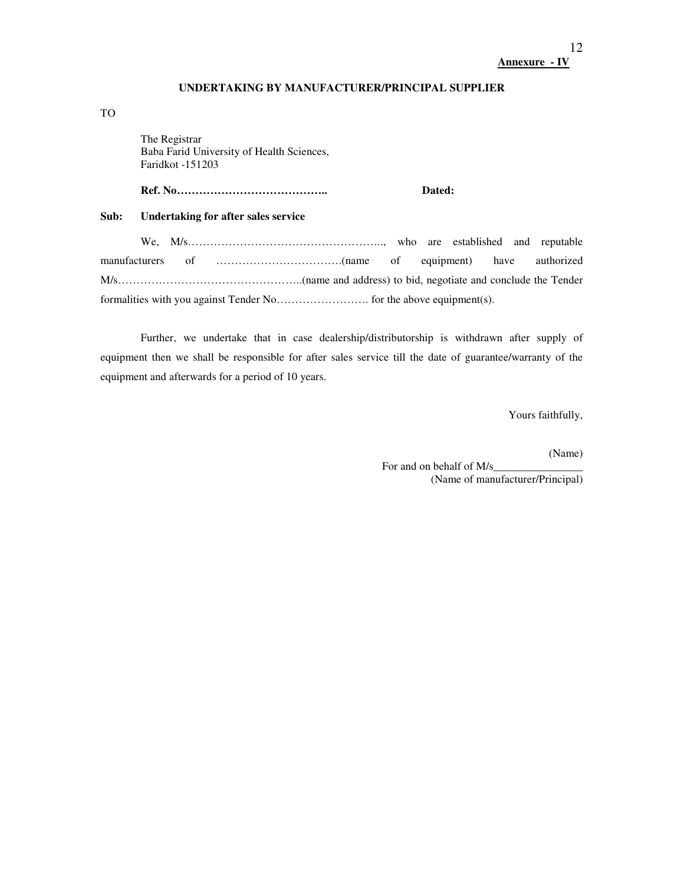# **Annexure - IV**

#### **UNDERTAKING BY MANUFACTURER/PRINCIPAL SUPPLIER**

## TO

 The Registrar Baba Farid University of Health Sciences, Faridkot -151203

## **Ref. No………………………………….. Dated:**

## **Sub: Undertaking for after sales service**

We, M/s…………………………………………….., who are established and reputable manufacturers of …………………………….(name of equipment) have authorized M/s…………………………………………..(name and address) to bid, negotiate and conclude the Tender formalities with you against Tender No……………………. for the above equipment(s).

Further, we undertake that in case dealership/distributorship is withdrawn after supply of equipment then we shall be responsible for after sales service till the date of guarantee/warranty of the equipment and afterwards for a period of 10 years.

Yours faithfully,

(Name)

For and on behalf of M/s (Name of manufacturer/Principal)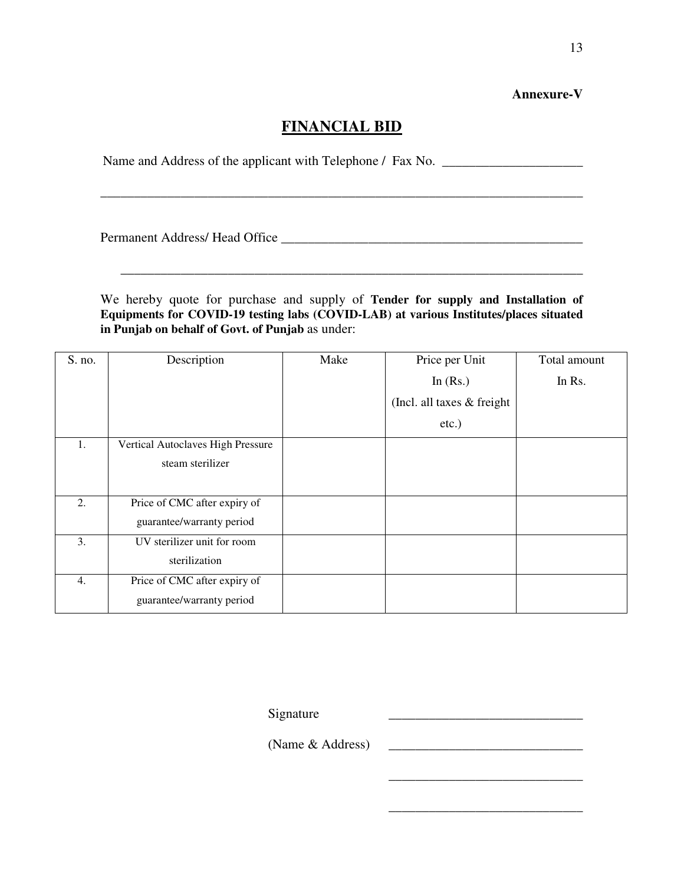## **Annexure-V**

# **FINANCIAL BID**

\_\_\_\_\_\_\_\_\_\_\_\_\_\_\_\_\_\_\_\_\_\_\_\_\_\_\_\_\_\_\_\_\_\_\_\_\_\_\_\_\_\_\_\_\_\_\_\_\_\_\_\_\_\_\_\_\_\_\_\_\_\_\_\_\_\_\_\_\_\_\_\_

Name and Address of the applicant with Telephone / Fax No.

Permanent Address/ Head Office \_\_\_\_\_\_\_\_\_\_\_\_\_\_\_\_\_\_\_\_\_\_\_\_\_\_\_\_\_\_\_\_\_\_\_\_\_\_\_\_\_\_\_\_\_

We hereby quote for purchase and supply of **Tender for supply and Installation of Equipments for COVID-19 testing labs (COVID-LAB) at various Institutes/places situated in Punjab on behalf of Govt. of Punjab** as under:

\_\_\_\_\_\_\_\_\_\_\_\_\_\_\_\_\_\_\_\_\_\_\_\_\_\_\_\_\_\_\_\_\_\_\_\_\_\_\_\_\_\_\_\_\_\_\_\_\_\_\_\_\_\_\_\_\_\_\_\_\_\_\_\_\_\_\_\_\_

| S. no. | Description                       | Make | Price per Unit              | Total amount |
|--------|-----------------------------------|------|-----------------------------|--------------|
|        |                                   |      | In $(Rs.)$                  | In Rs.       |
|        |                                   |      | (Incl. all taxes & freight) |              |
|        |                                   |      | $etc.$ )                    |              |
| 1.     | Vertical Autoclaves High Pressure |      |                             |              |
|        | steam sterilizer                  |      |                             |              |
|        |                                   |      |                             |              |
| 2.     | Price of CMC after expiry of      |      |                             |              |
|        | guarantee/warranty period         |      |                             |              |
| 3.     | UV sterilizer unit for room       |      |                             |              |
|        | sterilization                     |      |                             |              |
| 4.     | Price of CMC after expiry of      |      |                             |              |
|        | guarantee/warranty period         |      |                             |              |

Signature

(Name & Address)

 $\frac{1}{\sqrt{2}}$  ,  $\frac{1}{\sqrt{2}}$  ,  $\frac{1}{\sqrt{2}}$  ,  $\frac{1}{\sqrt{2}}$  ,  $\frac{1}{\sqrt{2}}$  ,  $\frac{1}{\sqrt{2}}$  ,  $\frac{1}{\sqrt{2}}$  ,  $\frac{1}{\sqrt{2}}$  ,  $\frac{1}{\sqrt{2}}$  ,  $\frac{1}{\sqrt{2}}$  ,  $\frac{1}{\sqrt{2}}$  ,  $\frac{1}{\sqrt{2}}$  ,  $\frac{1}{\sqrt{2}}$  ,  $\frac{1}{\sqrt{2}}$  ,  $\frac{1}{\sqrt{2}}$